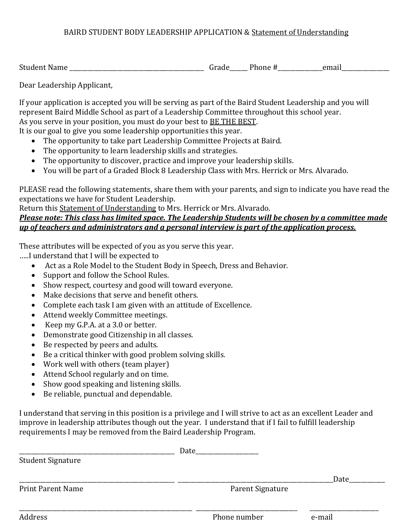## BAIRD STUDENT BODY LEADERSHIP APPLICATION & Statement of Understanding

Student Name \_\_\_\_\_\_\_\_\_\_\_\_\_\_\_\_\_\_\_\_\_\_\_\_\_\_\_\_\_\_\_\_\_\_\_\_\_\_\_\_\_\_\_\_\_ Grade\_\_\_\_\_\_ Phone #\_\_\_\_\_\_\_\_\_\_\_\_\_\_\_email\_\_\_\_\_\_\_\_\_\_\_\_\_\_\_\_

Dear Leadership Applicant,

If your application is accepted you will be serving as part of the Baird Student Leadership and you will represent Baird Middle School as part of a Leadership Committee throughout this school year. As you serve in your position, you must do your best to BE THE BEST. It is our goal to give you some leadership opportunities this year.

- The opportunity to take part Leadership Committee Projects at Baird.
- The opportunity to learn leadership skills and strategies.
- The opportunity to discover, practice and improve your leadership skills.
- You will be part of a Graded Block 8 Leadership Class with Mrs. Herrick or Mrs. Alvarado.

PLEASE read the following statements, share them with your parents, and sign to indicate you have read the expectations we have for Student Leadership.

Return this Statement of Understanding to Mrs. Herrick or Mrs. Alvarado.

## *Please note: This class has limited space. The Leadership Students will be chosen by a committee made up of teachers and administrators and a personal interview is part of the application process.*

These attributes will be expected of you as you serve this year.

…..I understand that I will be expected to

- Act as a Role Model to the Student Body in Speech, Dress and Behavior.
- Support and follow the School Rules.
- Show respect, courtesy and good will toward everyone.
- Make decisions that serve and benefit others.
- Complete each task I am given with an attitude of Excellence.
- Attend weekly Committee meetings.
- Keep my G.P.A. at a 3.0 or better.
- Demonstrate good Citizenship in all classes.
- Be respected by peers and adults.
- Be a critical thinker with good problem solving skills.
- Work well with others (team player)
- Attend School regularly and on time.
- Show good speaking and listening skills.
- Be reliable, punctual and dependable.

I understand that serving in this position is a privilege and I will strive to act as an excellent Leader and improve in leadership attributes though out the year. I understand that if I fail to fulfill leadership requirements I may be removed from the Baird Leadership Program.

|                          | Date             |        |
|--------------------------|------------------|--------|
| <b>Student Signature</b> |                  |        |
|                          |                  | Date   |
| <b>Print Parent Name</b> | Parent Signature |        |
|                          |                  |        |
| Address                  | Phone number     | e-mail |